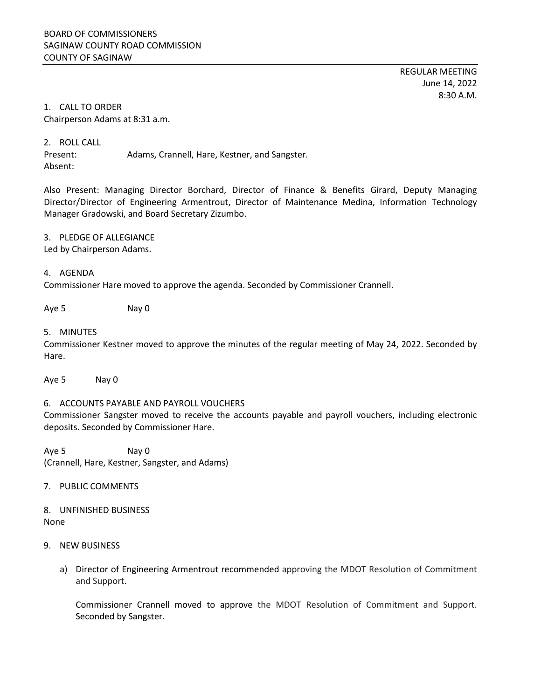REGULAR MEETING June 14, 2022 8:30 A.M.

## 1. CALL TO ORDER Chairperson Adams at 8:31 a.m.

2. ROLL CALL

Present: Adams, Crannell, Hare, Kestner, and Sangster. Absent:

Also Present: Managing Director Borchard, Director of Finance & Benefits Girard, Deputy Managing Director/Director of Engineering Armentrout, Director of Maintenance Medina, Information Technology Manager Gradowski, and Board Secretary Zizumbo.

### 3. PLEDGE OF ALLEGIANCE

Led by Chairperson Adams.

# 4. AGENDA

Commissioner Hare moved to approve the agenda. Seconded by Commissioner Crannell.

Aye 5 Nay 0

### 5. MINUTES

Commissioner Kestner moved to approve the minutes of the regular meeting of May 24, 2022. Seconded by Hare.

Aye 5 Nay 0

## 6. ACCOUNTS PAYABLE AND PAYROLL VOUCHERS

Commissioner Sangster moved to receive the accounts payable and payroll vouchers, including electronic deposits. Seconded by Commissioner Hare.

Aye 5 Nay 0 (Crannell, Hare, Kestner, Sangster, and Adams)

7. PUBLIC COMMENTS

8. UNFINISHED BUSINESS None

#### 9. NEW BUSINESS

a) Director of Engineering Armentrout recommended approving the MDOT Resolution of Commitment and Support.

Commissioner Crannell moved to approve the MDOT Resolution of Commitment and Support. Seconded by Sangster.